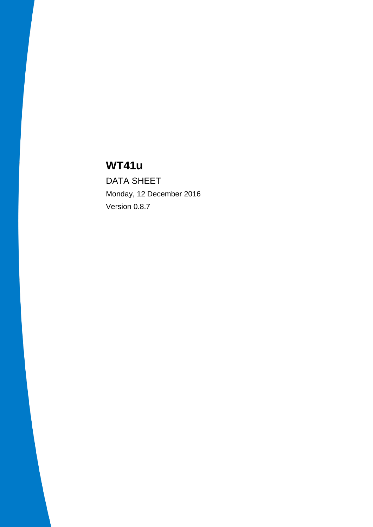# **WT41u**

DATA SHEET Monday, 12 December 2016 Version 0.8.7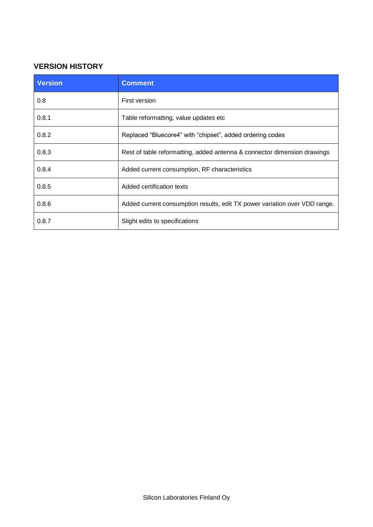## **VERSION HISTORY**

| <b>Version</b> | <b>Comment</b>                                                             |
|----------------|----------------------------------------------------------------------------|
| 0.8            | First version                                                              |
| 0.8.1          | Table reformatting, value updates etc.                                     |
| 0.8.2          | Replaced "Bluecore4" with "chipset", added ordering codes                  |
| 0.8.3          | Rest of table reformatting, added antenna & connector dimension drawings   |
| 0.8.4          | Added current consumption, RF characteristics                              |
| 0.8.5          | Added certification texts                                                  |
| 0.8.6          | Added current consumption results, edit TX power variation over VDD range. |
| 0.8.7          | Slight edits to specifications                                             |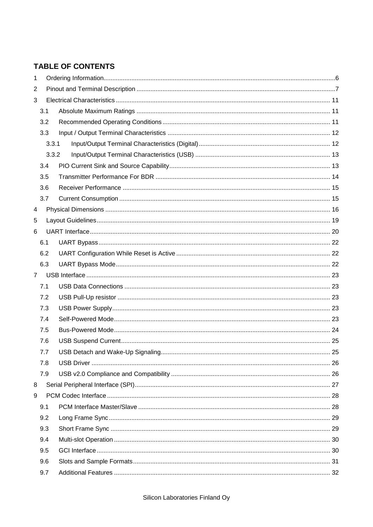## **TABLE OF CONTENTS**

| 1              |     |       |  |  |  |  |
|----------------|-----|-------|--|--|--|--|
| 2              |     |       |  |  |  |  |
| 3              |     |       |  |  |  |  |
|                | 3.1 |       |  |  |  |  |
|                | 3.2 |       |  |  |  |  |
|                | 3.3 |       |  |  |  |  |
|                |     | 3.3.1 |  |  |  |  |
|                |     | 3.3.2 |  |  |  |  |
|                | 3.4 |       |  |  |  |  |
|                | 3.5 |       |  |  |  |  |
|                | 3.6 |       |  |  |  |  |
|                | 3.7 |       |  |  |  |  |
| 4              |     |       |  |  |  |  |
| 5              |     |       |  |  |  |  |
| 6              |     |       |  |  |  |  |
|                | 6.1 |       |  |  |  |  |
|                | 6.2 |       |  |  |  |  |
|                | 6.3 |       |  |  |  |  |
| $\overline{7}$ |     |       |  |  |  |  |
|                | 7.1 |       |  |  |  |  |
|                | 7.2 |       |  |  |  |  |
|                | 7.3 |       |  |  |  |  |
|                | 7.4 |       |  |  |  |  |
|                | 7.5 |       |  |  |  |  |
|                | 7.6 |       |  |  |  |  |
|                | 7.7 |       |  |  |  |  |
|                | 7.8 |       |  |  |  |  |
|                | 7.9 |       |  |  |  |  |
| 8              |     |       |  |  |  |  |
| 9              |     |       |  |  |  |  |
|                | 9.1 |       |  |  |  |  |
|                | 9.2 |       |  |  |  |  |
|                | 9.3 |       |  |  |  |  |
|                | 9.4 |       |  |  |  |  |
|                | 9.5 |       |  |  |  |  |
|                | 9.6 |       |  |  |  |  |
|                | 9.7 |       |  |  |  |  |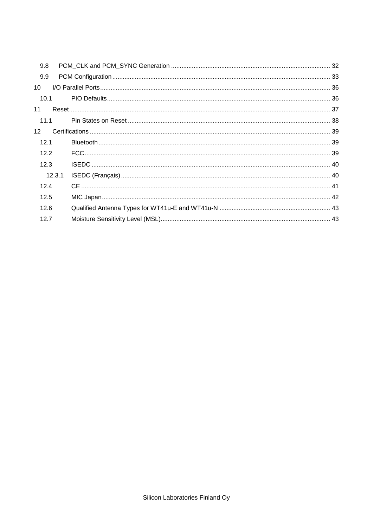| 9.8             |        |  |
|-----------------|--------|--|
| 9.9             |        |  |
| 10              |        |  |
| 10.1            |        |  |
| 11              |        |  |
| 11.1            |        |  |
| 12 <sup>2</sup> |        |  |
| 12.1            |        |  |
| 12.2            |        |  |
| 12.3            |        |  |
|                 | 12.3.1 |  |
| 12.4            |        |  |
| 12.5            |        |  |
| 12.6            |        |  |
| 12.7            |        |  |
|                 |        |  |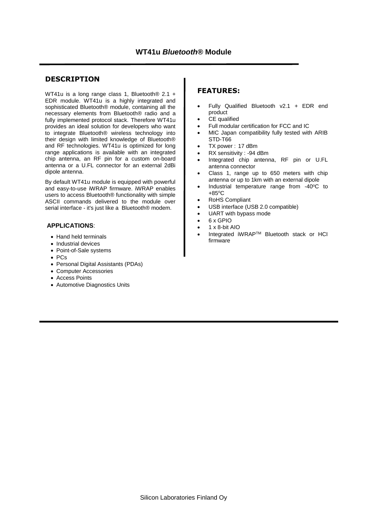#### **DESCRIPTION**

WT41u is a long range class 1, Bluetooth® 2.1 + EDR module. WT41u is a highly integrated and sophisticated Bluetooth<sup>®</sup> module, containing all the necessary elements from Bluetooth® radio and a fully implemented protocol stack. Therefore WT41u provides an ideal solution for developers who want to integrate Bluetooth® wireless technology into their design with limited knowledge of Bluetooth® and RF technologies. WT41u is optimized for long range applications is available with an integrated chip antenna, an RF pin for a custom on-board antenna or a U.FL connector for an external 2dBi dipole antenna.

By default WT41u module is equipped with powerful and easy-to-use iWRAP firmware. iWRAP enables users to access Bluetooth® functionality with simple ASCII commands delivered to the module over serial interface - it's just like a Bluetooth® modem.

#### **APPLICATIONS**:

- Hand held terminals
- Industrial devices
- Point-of-Sale systems
- PCs
- Personal Digital Assistants (PDAs)
- Computer Accessories
- Access Points
- Automotive Diagnostics Units

#### **FEATURES:**

- Fully Qualified Bluetooth v2.1 + EDR end product
- CE qualified
- Full modular certification for FCC and IC
- MIC Japan compatibility fully tested with ARIB STD-T66
- TX power : 17 dBm
- RX sensitivity : -94 dBm
- Integrated chip antenna, RF pin or U.FL antenna connector
- Class 1, range up to 650 meters with chip antenna or up to 1km with an external dipole
- Industrial temperature range from  $-40^{\circ}$ C to  $+85^{\circ}$ C
- RoHS Compliant
- USB interface (USB 2.0 compatible)
- UART with bypass mode
- 6 x GPIO
- $\bullet$  1 x 8-bit AIO
- Integrated iWRAPTM Bluetooth stack or HCI firmware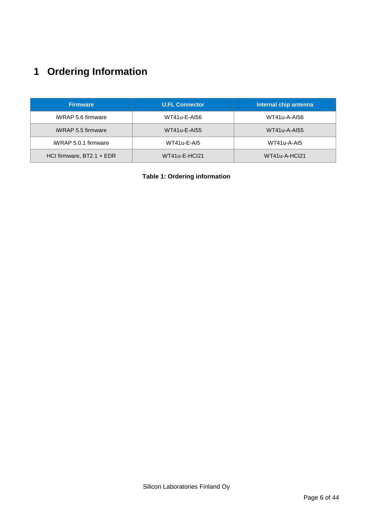# <span id="page-5-0"></span>**1 Ordering Information**

| <b>Firmware</b>           | <b>U.FL Connector</b> | Internal chip antenna |
|---------------------------|-----------------------|-----------------------|
| iWRAP 5.6 firmware        | WT41u-E-AI56          | WT41u-A-AI56          |
| iWRAP 5.5 firmware        | WT41u-E-AI55          | <b>WT41u-A-AI55</b>   |
| iWRAP 5.0.1 firmware      | $WT41u-E-Al5$         | WT41u-A-AI5           |
| HCI firmware, BT2.1 + EDR | WT41u-E-HCl21         | WT41u-A-HCl21         |

**Table 1: Ordering information**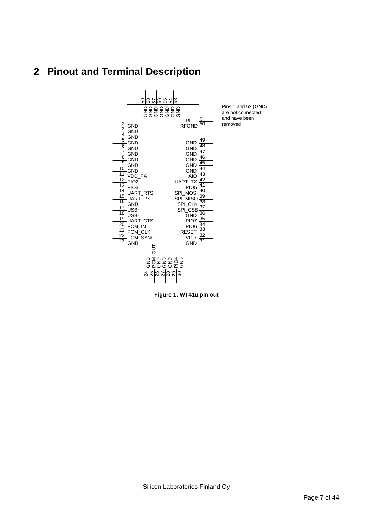# <span id="page-6-0"></span>**2 Pinout and Terminal Description**



**Figure 1: WT41u pin out**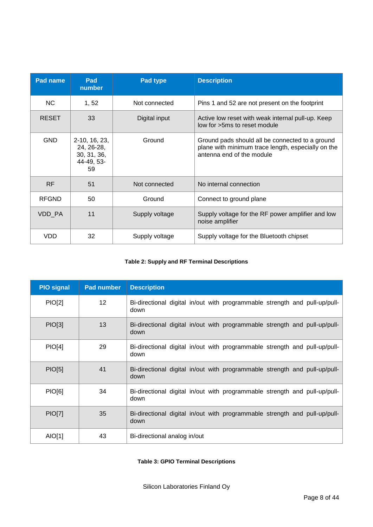| Pad name     | Pad<br>number                                                  | Pad type       | <b>Description</b>                                                                                                                 |  |
|--------------|----------------------------------------------------------------|----------------|------------------------------------------------------------------------------------------------------------------------------------|--|
| <b>NC</b>    | 1, 52                                                          | Not connected  | Pins 1 and 52 are not present on the footprint                                                                                     |  |
| <b>RESET</b> | 33                                                             | Digital input  | Active low reset with weak internal pull-up. Keep<br>low for >5ms to reset module                                                  |  |
| <b>GND</b>   | 2-10, 16, 23,<br>24, 26-28,<br>30, 31, 36,<br>44-49, 53-<br>59 | Ground         | Ground pads should all be connected to a ground<br>plane with minimum trace length, especially on the<br>antenna end of the module |  |
| <b>RF</b>    | 51                                                             | Not connected  | No internal connection                                                                                                             |  |
| <b>RFGND</b> | 50                                                             | Ground         | Connect to ground plane                                                                                                            |  |
| VDD PA       | 11                                                             | Supply voltage | Supply voltage for the RF power amplifier and low<br>noise amplifier                                                               |  |
| VDD          | 32                                                             | Supply voltage | Supply voltage for the Bluetooth chipset                                                                                           |  |

#### **Table 2: Supply and RF Terminal Descriptions**

| <b>PIO signal</b> | <b>Pad number</b> | <b>Description</b>                                                                 |
|-------------------|-------------------|------------------------------------------------------------------------------------|
| <b>PIO[2]</b>     | 12 <sup>2</sup>   | Bi-directional digital in/out with programmable strength and pull-up/pull-<br>down |
| PIO[3]            | 13                | Bi-directional digital in/out with programmable strength and pull-up/pull-<br>down |
| PIO[4]            | 29                | Bi-directional digital in/out with programmable strength and pull-up/pull-<br>down |
| <b>PIO[5]</b>     | 41                | Bi-directional digital in/out with programmable strength and pull-up/pull-<br>down |
| <b>PIO[6]</b>     | 34                | Bi-directional digital in/out with programmable strength and pull-up/pull-<br>down |
| <b>PIO[7]</b>     | 35                | Bi-directional digital in/out with programmable strength and pull-up/pull-<br>down |
| AIO[1]            | 43                | Bi-directional analog in/out                                                       |

**Table 3: GPIO Terminal Descriptions**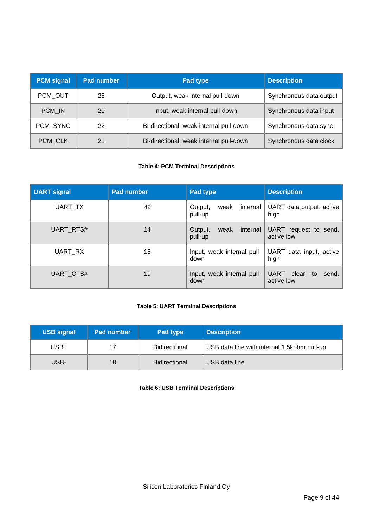| <b>PCM</b> signal | Pad number | <b>Pad type</b>                         | <b>Description</b>      |
|-------------------|------------|-----------------------------------------|-------------------------|
| PCM OUT           | 25         | Output, weak internal pull-down         | Synchronous data output |
| PCM IN            | 20         | Input, weak internal pull-down          | Synchronous data input  |
| PCM SYNC          | 22         | Bi-directional, weak internal pull-down | Synchronous data sync   |
| PCM_CLK           | 21         | Bi-directional, weak internal pull-down | Synchronous data clock  |

#### **Table 4: PCM Terminal Descriptions**

| <b>UART signal</b> | <b>Pad number</b> | Pad type                               | <b>Description</b>                      |
|--------------------|-------------------|----------------------------------------|-----------------------------------------|
| UART_TX            | 42                | internal<br>weak<br>Output,<br>pull-up | UART data output, active<br>high        |
| <b>UART RTS#</b>   | 14                | Output,<br>internal<br>weak<br>pull-up | UART request to send, $ $<br>active low |
| UART_RX            | 15                | Input, weak internal pull-<br>down     | UART data input, active<br>high         |
| UART_CTS#          | 19                | Input, weak internal pull-<br>down     | UART clear<br>to<br>send,<br>active low |

#### **Table 5: UART Terminal Descriptions**

| <b>USB signal</b> | <b>Pad number</b> | Pad type             | <b>Description</b>                           |
|-------------------|-------------------|----------------------|----------------------------------------------|
| USB+              | 17                | <b>Bidirectional</b> | USB data line with internal 1.5 kohm pull-up |
| USB-              | 18                | <b>Bidirectional</b> | USB data line                                |

#### **Table 6: USB Terminal Descriptions**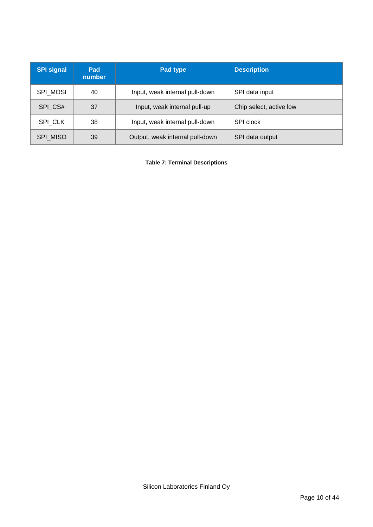| <b>SPI signal</b> | Pad<br>number | Pad type                                                | <b>Description</b> |  |
|-------------------|---------------|---------------------------------------------------------|--------------------|--|
| <b>SPI MOSI</b>   | 40            | Input, weak internal pull-down                          | SPI data input     |  |
| SPI_CS#           | 37            | Chip select, active low<br>Input, weak internal pull-up |                    |  |
| SPI CLK           | 38            | Input, weak internal pull-down                          | SPI clock          |  |
| SPI_MISO          | 39            | Output, weak internal pull-down                         | SPI data output    |  |

**Table 7: Terminal Descriptions**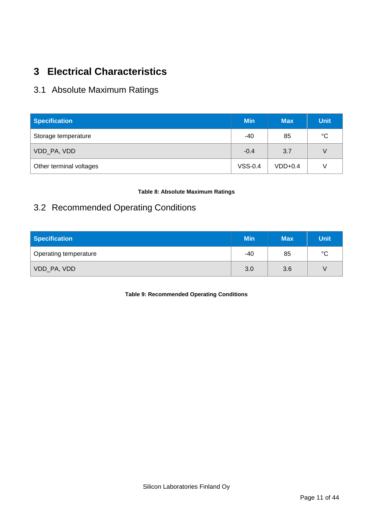# <span id="page-10-0"></span>**3 Electrical Characteristics**

# <span id="page-10-1"></span>3.1 Absolute Maximum Ratings

| <b>Specification</b>    | <b>Min</b> | <b>Max</b> | <b>Unit</b> |
|-------------------------|------------|------------|-------------|
| Storage temperature     | -40        | 85         | $^{\circ}C$ |
| VDD_PA, VDD             | $-0.4$     | 3.7        | V           |
| Other terminal voltages | $VSS-0.4$  | $VDD+0.4$  | V           |

#### **Table 8: Absolute Maximum Ratings**

# <span id="page-10-2"></span>3.2 Recommended Operating Conditions

| <b>Specification</b>  | <b>Min</b> | <b>Max</b> | <b>Unit</b> |
|-----------------------|------------|------------|-------------|
| Operating temperature | -40        | 85         | $^{\circ}C$ |
| VDD_PA, VDD           | 3.0        | 3.6        | V           |

**Table 9: Recommended Operating Conditions**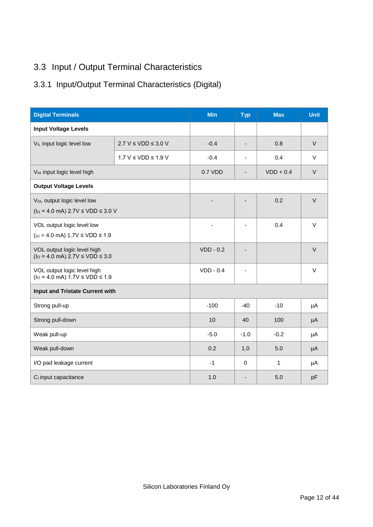# <span id="page-11-0"></span>3.3 Input / Output Terminal Characteristics

# <span id="page-11-1"></span>3.3.1 Input/Output Terminal Characteristics (Digital)

| <b>Digital Terminals</b>                                                                     | <b>Min</b>                  | <b>Typ</b>  | <b>Max</b> | <b>Unit</b>  |        |
|----------------------------------------------------------------------------------------------|-----------------------------|-------------|------------|--------------|--------|
| <b>Input Voltage Levels</b>                                                                  |                             |             |            |              |        |
| V <sub>IL</sub> input logic level low                                                        | $2.7 V \leq VDD \leq 3.0 V$ | $-0.4$      | -          | 0.8          | $\vee$ |
|                                                                                              | $1.7 V \leq VDD \leq 1.9 V$ | $-0.4$      | ä,         | 0.4          | $\vee$ |
| V <sub>IH</sub> input logic level high                                                       |                             | 0.7 VDD     | -          | $VDD + 0.4$  | $\vee$ |
| <b>Output Voltage Levels</b>                                                                 |                             |             |            |              |        |
| V <sub>OL</sub> output logic level low<br>$(10 = 4.0 \text{ mA})$ 2.7V $\le$ VDD $\le$ 3.0 V |                             |             |            | 0.2          | $\vee$ |
| VOL output logic level low<br>$(10 - 4.0 \text{ mA})$ 1.7V $\le$ VDD $\le$ 1.9               |                             |             |            | 0.4          | $\vee$ |
| VOL output logic level high<br>$(10 = 4.0 \text{ mA})$ 2.7V $\le$ VDD $\le$ 3.0              |                             | $VDD - 0.2$ |            |              | $\vee$ |
| VOL output logic level high<br>$(10 = 4.0 \text{ mA})$ 1.7V $\le$ VDD $\le$ 1.9              |                             | $VDD - 0.4$ | ۰          |              | $\vee$ |
| Input and Tristate Current with                                                              |                             |             |            |              |        |
| Strong pull-up                                                                               |                             | $-100$      | $-40$      | $-10$        | μA     |
| Strong pull-down                                                                             |                             | 10          | 40         | 100          | μA     |
| Weak pull-up                                                                                 |                             | $-5.0$      | $-1.0$     | $-0.2$       | μA     |
| Weak pull-down                                                                               |                             | 0.2         | 1.0        | 5.0          | μA     |
| I/O pad leakage current                                                                      |                             | $-1$        | $\Omega$   | $\mathbf{1}$ | μA     |
| C <sub>i</sub> input capacitance                                                             |                             | 1.0         | -          | 5.0          | pF     |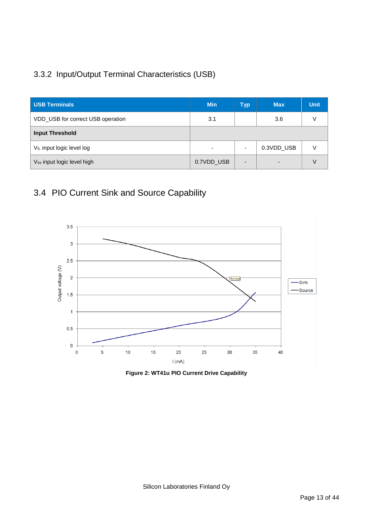# <span id="page-12-0"></span>3.3.2 Input/Output Terminal Characteristics (USB)

| <b>USB Terminals</b>                   | <b>Min</b>               | <b>Typ</b> | <b>Max</b>               | <b>Unit</b> |
|----------------------------------------|--------------------------|------------|--------------------------|-------------|
| VDD_USB for correct USB operation      | 3.1                      |            | 3.6                      |             |
| <b>Input Threshold</b>                 |                          |            |                          |             |
| V <sub>IL</sub> input logic level log  | $\overline{\phantom{0}}$ |            | 0.3VDD_USB               |             |
| V <sub>IH</sub> input logic level high | 0.7VDD USB               |            | $\overline{\phantom{a}}$ |             |

# <span id="page-12-1"></span>3.4 PIO Current Sink and Source Capability



**Figure 2: WT41u PIO Current Drive Capability**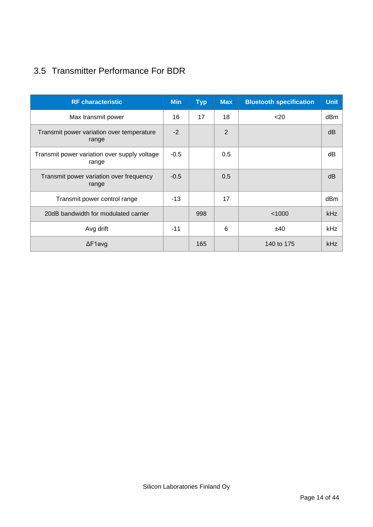# <span id="page-13-0"></span>3.5 Transmitter Performance For BDR

| <b>RF</b> characteristic                              | <b>Min</b> | <b>Typ</b> | <b>Max</b> | <b>Bluetooth specification</b> | <b>Unit</b> |
|-------------------------------------------------------|------------|------------|------------|--------------------------------|-------------|
| Max transmit power                                    | 16         | 17         | 18         | $20$                           | dBm         |
| Transmit power variation over temperature<br>range    | $-2$       |            | 2          |                                | dB          |
| Transmit power variation over supply voltage<br>range | $-0.5$     |            | 0.5        |                                | dB          |
| Transmit power variation over frequency<br>range      | $-0.5$     |            | 0.5        |                                | dB          |
| Transmit power control range                          | $-13$      |            | 17         |                                | dBm         |
| 20dB bandwidth for modulated carrier                  |            | 998        |            | < 1000                         | kHz         |
| Avg drift                                             | $-11$      |            | 6          | ±40                            | kHz         |
| $\Delta$ F1avg                                        |            | 165        |            | 140 to 175                     | kHz         |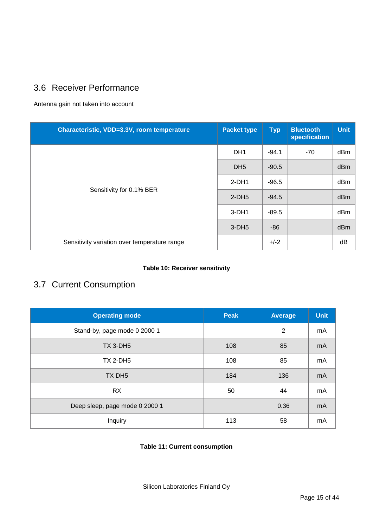# <span id="page-14-0"></span>3.6 Receiver Performance

Antenna gain not taken into account

| Characteristic, VDD=3.3V, room temperature   | <b>Packet type</b> | <b>Typ</b> | <b>Bluetooth</b><br>specification | <b>Unit</b> |
|----------------------------------------------|--------------------|------------|-----------------------------------|-------------|
|                                              | DH <sub>1</sub>    | $-94.1$    | -70                               | dBm         |
|                                              | DH <sub>5</sub>    | $-90.5$    |                                   | dBm         |
| Sensitivity for 0.1% BER                     | $2-DH1$            | $-96.5$    |                                   | dBm         |
|                                              | $2-DH5$            | $-94.5$    |                                   | dBm         |
|                                              | $3-DH1$            | $-89.5$    |                                   | dBm         |
|                                              | $3-DH5$            | $-86$      |                                   | dBm         |
| Sensitivity variation over temperature range |                    | $+/-2$     |                                   | dB          |

#### **Table 10: Receiver sensitivity**

# <span id="page-14-1"></span>3.7 Current Consumption

| <b>Operating mode</b>          | <b>Peak</b> | <b>Average</b> | <b>Unit</b> |
|--------------------------------|-------------|----------------|-------------|
| Stand-by, page mode 0 2000 1   |             | $\overline{2}$ | mA          |
| <b>TX 3-DH5</b>                | 108         | 85             | mA          |
| <b>TX 2-DH5</b>                | 108         | 85             | mA          |
| TX DH <sub>5</sub>             | 184         | 136            | mA          |
| <b>RX</b>                      | 50          | 44             | mA          |
| Deep sleep, page mode 0 2000 1 |             | 0.36           | mA          |
| Inquiry                        | 113         | 58             | mA          |

#### **Table 11: Current consumption**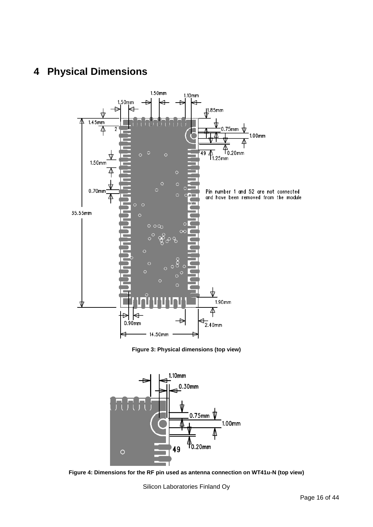# <span id="page-15-0"></span>**4 Physical Dimensions**



**Figure 3: Physical dimensions (top view)**



**Figure 4: Dimensions for the RF pin used as antenna connection on WT41u-N (top view)**

Silicon Laboratories Finland Oy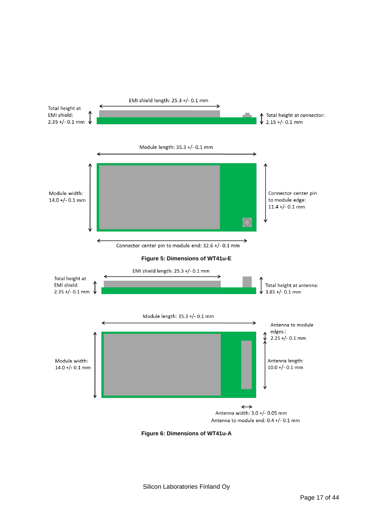

**Figure 6: Dimensions of WT41u-A**

Silicon Laboratories Finland Oy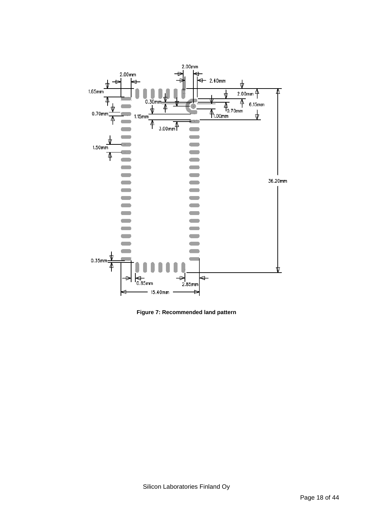

**Figure 7: Recommended land pattern**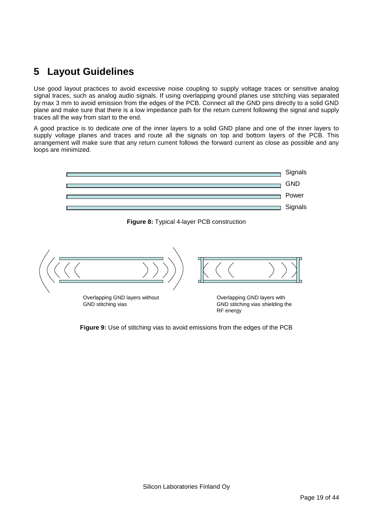# <span id="page-18-0"></span>**5** Layout Guidelines **Figure 2018**

Use good layout practices to avoid excessive noise coupling to supply voltage traces or sensitive analog signal traces, such as analog audio signals. If using overlapping ground planes use stitching vias separated by max 3 mm to avoid emission from the edges of the PCB. Connect all the GND pins directly to a solid GND by max 3 mm to avoid emission nont the edges of the r OD. Connect an the GND plus directly to a solid GND plane and make sure that there is a low impedance path for the return current following the signal and supply traces all the way from start to the end.

hassed a line may not be the the stat. supply voltage planes and traces and route all the signals on top and bottom layers of the PCB. This arrangement will make sure that any return current follows the forward current as close as possible and any loops are minimized.  $R_{\text{R}}$ 



**Figure 8:** Typical 4-layer PCB construction



**Figure 9:** Use of stitching vias to avoid emissions from the edges of the PCB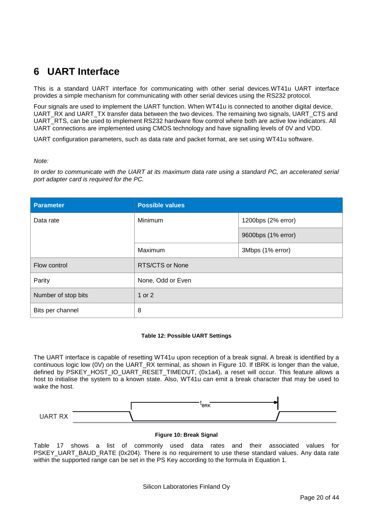# <span id="page-19-0"></span>**6 UART Interface**

This is a standard UART interface for communicating with other serial devices.WT41u UART interface provides a simple mechanism for communicating with other serial devices using the RS232 protocol.

Four signals are used to implement the UART function. When WT41u is connected to another digital device, UART\_RX and UART\_TX transfer data between the two devices. The remaining two signals, UART\_CTS and UART\_RTS, can be used to implement RS232 hardware flow control where both are active low indicators. All UART connections are implemented using CMOS technology and have signalling levels of 0V and VDD.

UART configuration parameters, such as data rate and packet format, are set using WT41u software.

*Note:*

*In order to communicate with the UART at its maximum data rate using a standard PC, an accelerated serial port adapter card is required for the PC.*

| <b>Parameter</b>    | <b>Possible values</b> |                    |  |
|---------------------|------------------------|--------------------|--|
| Data rate           | Minimum                | 1200bps (2% error) |  |
|                     |                        | 9600bps (1% error) |  |
|                     | Maximum                | 3Mbps (1% error)   |  |
| Flow control        | <b>RTS/CTS or None</b> |                    |  |
| Parity              | None, Odd or Even      |                    |  |
| Number of stop bits | 1 or 2                 |                    |  |
| Bits per channel    | 8                      |                    |  |

#### **Table 12: Possible UART Settings**

The UART interface is capable of resetting WT41u upon reception of a break signal. A break is identified by a continuous logic low (0V) on the UART\_RX terminal, as shown in Figure 10. If tBRK is longer than the value, defined by PSKEY\_HOST\_IO\_UART\_RESET\_TIMEOUT, (0x1a4), a reset will occur. This feature allows a host to initialise the system to a known state. Also, WT41u can emit a break character that may be used to wake the host.



#### **Figure 10: Break Signal**

Table 17 shows a list of commonly used data rates and their associated values for PSKEY\_UART\_BAUD\_RATE (0x204). There is no requirement to use these standard values. Any data rate within the supported range can be set in the PS Key according to the formula in Equation 1.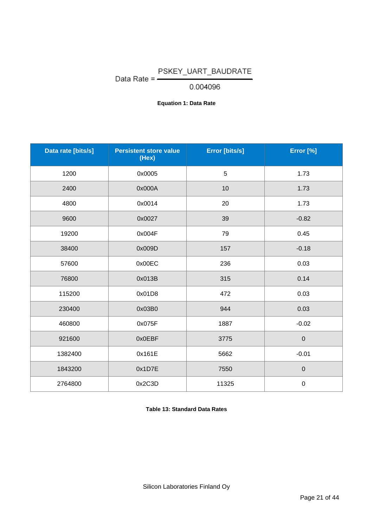# Data Rate =  $\frac{PSKEY_UART_BAUDRATE}{0.004096}$

0.004096

### **Equation 1: Data Rate**

| Data rate [bits/s] | <b>Persistent store value</b><br>(Hex) | Error [bits/s]  | Error [%]   |
|--------------------|----------------------------------------|-----------------|-------------|
| 1200               | 0x0005                                 | $5\phantom{.0}$ | 1.73        |
| 2400               | 0x000A                                 | 10              | 1.73        |
| 4800               | 0x0014                                 | 20              | 1.73        |
| 9600               | 0x0027                                 | 39              | $-0.82$     |
| 19200              | 0x004F                                 | 79              | 0.45        |
| 38400              | 0x009D                                 | 157             | $-0.18$     |
| 57600              | 0x00EC                                 | 236             | 0.03        |
| 76800              | 0x013B                                 | 315             | 0.14        |
| 115200             | 0x01D8                                 | 472             | 0.03        |
| 230400             | 0x03B0                                 | 944             | 0.03        |
| 460800             | 0x075F                                 | 1887            | $-0.02$     |
| 921600             | 0x0EBF                                 | 3775            | $\mathbf 0$ |
| 1382400            | 0x161E                                 | 5662            | $-0.01$     |
| 1843200            | 0x1D7E                                 | 7550            | $\mathbf 0$ |
| 2764800            | 0x2C3D                                 | 11325           | $\mathbf 0$ |

**Table 13: Standard Data Rates**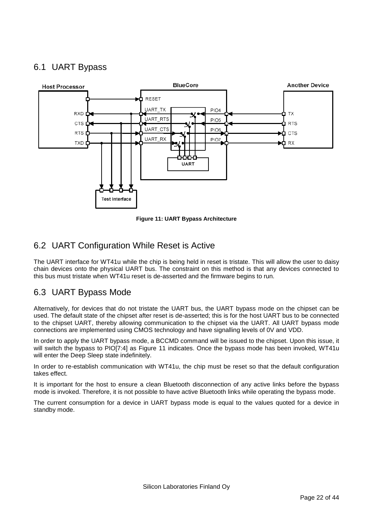# <span id="page-21-0"></span>6.1 UART Bypass



**Figure 11: UART Bypass Architecture**

# <span id="page-21-1"></span>6.2 UART Configuration While Reset is Active

The UART interface for WT41u while the chip is being held in reset is tristate. This will allow the user to daisy chain devices onto the physical UART bus. The constraint on this method is that any devices connected to this bus must tristate when WT41u reset is de-asserted and the firmware begins to run.

# <span id="page-21-2"></span>6.3 UART Bypass Mode

Alternatively, for devices that do not tristate the UART bus, the UART bypass mode on the chipset can be used. The default state of the chipset after reset is de-asserted; this is for the host UART bus to be connected to the chipset UART, thereby allowing communication to the chipset via the UART. All UART bypass mode connections are implemented using CMOS technology and have signalling levels of 0V and VDD.

In order to apply the UART bypass mode, a BCCMD command will be issued to the chipset. Upon this issue, it will switch the bypass to PIO[7:4] as Figure 11 indicates. Once the bypass mode has been invoked, WT41u will enter the Deep Sleep state indefinitely.

In order to re-establish communication with WT41u, the chip must be reset so that the default configuration takes effect.

It is important for the host to ensure a clean Bluetooth disconnection of any active links before the bypass mode is invoked. Therefore, it is not possible to have active Bluetooth links while operating the bypass mode.

The current consumption for a device in UART bypass mode is equal to the values quoted for a device in standby mode.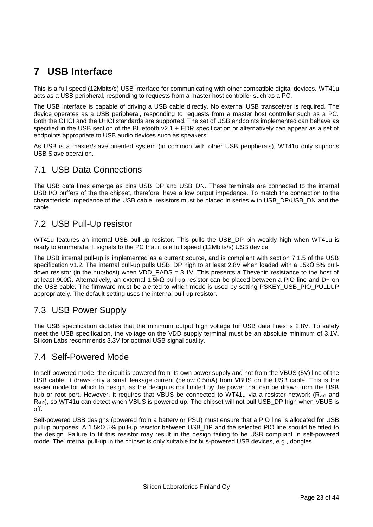# <span id="page-22-0"></span>**7 USB Interface**

This is a full speed (12Mbits/s) USB interface for communicating with other compatible digital devices. WT41u acts as a USB peripheral, responding to requests from a master host controller such as a PC.

The USB interface is capable of driving a USB cable directly. No external USB transceiver is required. The device operates as a USB peripheral, responding to requests from a master host controller such as a PC. Both the OHCI and the UHCI standards are supported. The set of USB endpoints implemented can behave as specified in the USB section of the Bluetooth v2.1 + EDR specification or alternatively can appear as a set of endpoints appropriate to USB audio devices such as speakers.

As USB is a master/slave oriented system (in common with other USB peripherals), WT41u only supports USB Slave operation.

## <span id="page-22-1"></span>7.1 USB Data Connections

The USB data lines emerge as pins USB\_DP and USB\_DN. These terminals are connected to the internal USB I/O buffers of the the chipset, therefore, have a low output impedance. To match the connection to the characteristic impedance of the USB cable, resistors must be placed in series with USB\_DP/USB\_DN and the cable.

## <span id="page-22-2"></span>7.2 USB Pull-Up resistor

WT41u features an internal USB pull-up resistor. This pulls the USB DP pin weakly high when WT41u is ready to enumerate. It signals to the PC that it is a full speed (12Mbits/s) USB device.

The USB internal pull-up is implemented as a current source, and is compliant with section 7.1.5 of the USB specification v1.2. The internal pull-up pulls USB\_DP high to at least 2.8V when loaded with a 15kΩ 5% pulldown resistor (in the hub/host) when VDD\_PADS =  $3.1V$ . This presents a Thevenin resistance to the host of at least 900Ω. Alternatively, an external 1.5kΩ pull-up resistor can be placed between a PIO line and D+ on the USB cable. The firmware must be alerted to which mode is used by setting PSKEY\_USB\_PIO\_PULLUP appropriately. The default setting uses the internal pull-up resistor.

# <span id="page-22-3"></span>7.3 USB Power Supply

The USB specification dictates that the minimum output high voltage for USB data lines is 2.8V. To safely meet the USB specification, the voltage on the VDD supply terminal must be an absolute minimum of 3.1V. Silicon Labs recommends 3.3V for optimal USB signal quality.

## <span id="page-22-4"></span>7.4 Self-Powered Mode

In self-powered mode, the circuit is powered from its own power supply and not from the VBUS (5V) line of the USB cable. It draws only a small leakage current (below 0.5mA) from VBUS on the USB cable. This is the easier mode for which to design, as the design is not limited by the power that can be drawn from the USB hub or root port. However, it requires that VBUS be connected to WT41u via a resistor network (R<sub>vb1</sub> and Rvb2), so WT41u can detect when VBUS is powered up. The chipset will not pull USB\_DP high when VBUS is off.

Self-powered USB designs (powered from a battery or PSU) must ensure that a PIO line is allocated for USB pullup purposes. A 1.5kΩ 5% pull-up resistor between USB\_DP and the selected PIO line should be fitted to the design. Failure to fit this resistor may result in the design failing to be USB compliant in self-powered mode. The internal pull-up in the chipset is only suitable for bus-powered USB devices, e.g., dongles.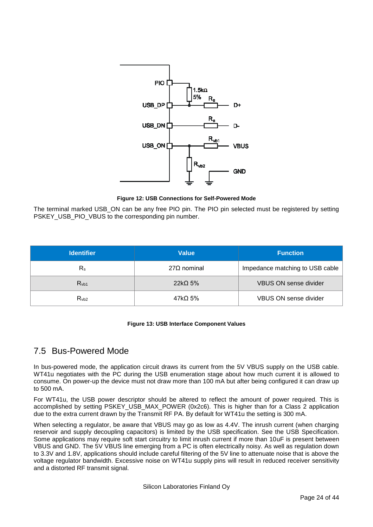

**Figure 12: USB Connections for Self-Powered Mode**

The terminal marked USB\_ON can be any free PIO pin. The PIO pin selected must be registered by setting PSKEY\_USB\_PIO\_VBUS to the corresponding pin number.

| <b>Identifier</b>  | <b>Value</b>       | <b>Function</b>                 |
|--------------------|--------------------|---------------------------------|
| $R_{\rm s}$        | $27\Omega$ nominal | Impedance matching to USB cable |
| R <sub>v</sub> b1  | $22k\Omega$ 5%     | <b>VBUS ON sense divider</b>    |
| $Rv$ <sub>b2</sub> | $47k\Omega$ 5%     | <b>VBUS ON sense divider</b>    |

#### **Figure 13: USB Interface Component Values**

# <span id="page-23-0"></span>7.5 Bus-Powered Mode

In bus-powered mode, the application circuit draws its current from the 5V VBUS supply on the USB cable. WT41u negotiates with the PC during the USB enumeration stage about how much current it is allowed to consume. On power-up the device must not draw more than 100 mA but after being configured it can draw up to 500 mA.

For WT41u, the USB power descriptor should be altered to reflect the amount of power required. This is accomplished by setting PSKEY\_USB\_MAX\_POWER (0x2c6). This is higher than for a Class 2 application due to the extra current drawn by the Transmit RF PA. By default for WT41u the setting is 300 mA.

When selecting a regulator, be aware that VBUS may go as low as 4.4V. The inrush current (when charging reservoir and supply decoupling capacitors) is limited by the USB specification. See the USB Specification. Some applications may require soft start circuitry to limit inrush current if more than 10uF is present between VBUS and GND. The 5V VBUS line emerging from a PC is often electrically noisy. As well as regulation down to 3.3V and 1.8V, applications should include careful filtering of the 5V line to attenuate noise that is above the voltage regulator bandwidth. Excessive noise on WT41u supply pins will result in reduced receiver sensitivity and a distorted RF transmit signal.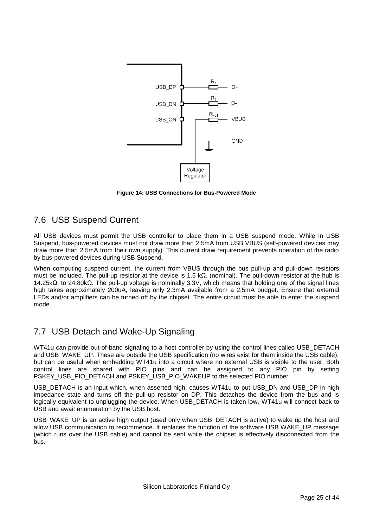

**Figure 14: USB Connections for Bus-Powered Mode**

# <span id="page-24-0"></span>7.6 USB Suspend Current

All USB devices must permit the USB controller to place them in a USB suspend mode. While in USB Suspend, bus-powered devices must not draw more than 2.5mA from USB VBUS (self-powered devices may draw more than 2.5mA from their own supply). This current draw requirement prevents operation of the radio by bus-powered devices during USB Suspend.

When computing suspend current, the current from VBUS through the bus pull-up and pull-down resistors must be included. The pull-up resistor at the device is 1.5 kΩ. (nominal). The pull-down resistor at the hub is 14.25kΩ. to 24.80kΩ. The pull-up voltage is nominally 3.3V, which means that holding one of the signal lines high takes approximately 200uA, leaving only 2.3mA available from a 2.5mA budget. Ensure that external LEDs and/or amplifiers can be turned off by the chipset. The entire circuit must be able to enter the suspend mode.

# <span id="page-24-1"></span>7.7 USB Detach and Wake-Up Signaling

WT41u can provide out-of-band signaling to a host controller by using the control lines called USB\_DETACH and USB WAKE UP. These are outside the USB specification (no wires exist for them inside the USB cable), but can be useful when embedding WT41u into a circuit where no external USB is visible to the user. Both control lines are shared with PIO pins and can be assigned to any PIO pin by setting PSKEY\_USB\_PIO\_DETACH and PSKEY\_USB\_PIO\_WAKEUP to the selected PIO number.

USB\_DETACH is an input which, when asserted high, causes WT41u to put USB\_DN and USB\_DP in high impedance state and turns off the pull-up resistor on DP. This detaches the device from the bus and is logically equivalent to unplugging the device. When USB\_DETACH is taken low, WT41u will connect back to USB and await enumeration by the USB host.

USB\_WAKE\_UP is an active high output (used only when USB\_DETACH is active) to wake up the host and allow USB communication to recommence. It replaces the function of the software USB WAKE\_UP message (which runs over the USB cable) and cannot be sent while the chipset is effectively disconnected from the bus.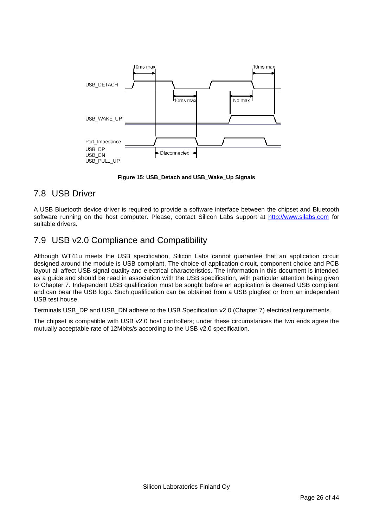

**Figure 15: USB\_Detach and USB\_Wake\_Up Signals**

# <span id="page-25-0"></span>7.8 USB Driver

A USB Bluetooth device driver is required to provide a software interface between the chipset and Bluetooth software running on the host computer. Please, contact Silicon Labs support at [http://www.silabs.com](http://www.silabs.com/) for suitable drivers.

# <span id="page-25-1"></span>7.9 USB v2.0 Compliance and Compatibility

Although WT41u meets the USB specification, Silicon Labs cannot guarantee that an application circuit designed around the module is USB compliant. The choice of application circuit, component choice and PCB layout all affect USB signal quality and electrical characteristics. The information in this document is intended as a guide and should be read in association with the USB specification, with particular attention being given to Chapter 7. Independent USB qualification must be sought before an application is deemed USB compliant and can bear the USB logo. Such qualification can be obtained from a USB plugfest or from an independent USB test house.

Terminals USB\_DP and USB\_DN adhere to the USB Specification v2.0 (Chapter 7) electrical requirements.

The chipset is compatible with USB v2.0 host controllers; under these circumstances the two ends agree the mutually acceptable rate of 12Mbits/s according to the USB v2.0 specification.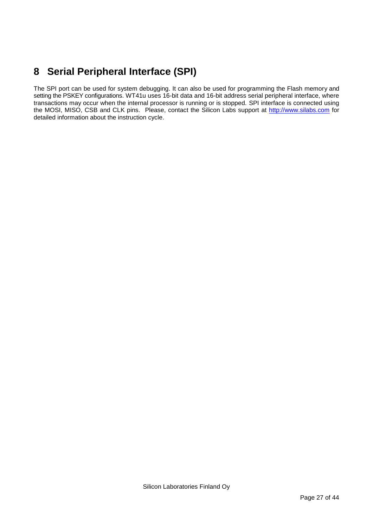# <span id="page-26-0"></span>**8 Serial Peripheral Interface (SPI)**

The SPI port can be used for system debugging. It can also be used for programming the Flash memory and setting the PSKEY configurations. WT41u uses 16-bit data and 16-bit address serial peripheral interface, where transactions may occur when the internal processor is running or is stopped. SPI interface is connected using the MOSI, MISO, CSB and CLK pins. Please, contact the Silicon Labs support at [http://www.silabs.com](http://www.silabs.com/) for detailed information about the instruction cycle.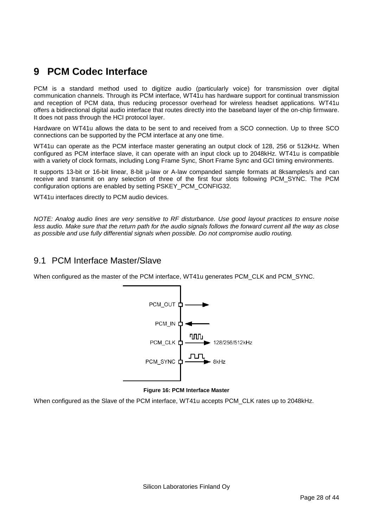# <span id="page-27-0"></span>**9 PCM Codec Interface**

PCM is a standard method used to digitize audio (particularly voice) for transmission over digital communication channels. Through its PCM interface, WT41u has hardware support for continual transmission and reception of PCM data, thus reducing processor overhead for wireless headset applications. WT41u offers a bidirectional digital audio interface that routes directly into the baseband layer of the on-chip firmware. It does not pass through the HCI protocol layer.

Hardware on WT41u allows the data to be sent to and received from a SCO connection. Up to three SCO connections can be supported by the PCM interface at any one time.

WT41u can operate as the PCM interface master generating an output clock of 128, 256 or 512kHz. When configured as PCM interface slave, it can operate with an input clock up to 2048kHz. WT41u is compatible with a variety of clock formats, including Long Frame Sync, Short Frame Sync and GCI timing environments.

It supports 13-bit or 16-bit linear, 8-bit µ-law or A-law companded sample formats at 8ksamples/s and can receive and transmit on any selection of three of the first four slots following PCM\_SYNC. The PCM configuration options are enabled by setting PSKEY\_PCM\_CONFIG32.

WT41u interfaces directly to PCM audio devices.

*NOTE: Analog audio lines are very sensitive to RF disturbance. Use good layout practices to ensure noise less audio. Make sure that the return path for the audio signals follows the forward current all the way as close as possible and use fully differential signals when possible. Do not compromise audio routing.*

### <span id="page-27-1"></span>9.1 PCM Interface Master/Slave

When configured as the master of the PCM interface, WT41u generates PCM\_CLK and PCM\_SYNC.



#### **Figure 16: PCM Interface Master**

When configured as the Slave of the PCM interface, WT41u accepts PCM\_CLK rates up to 2048kHz.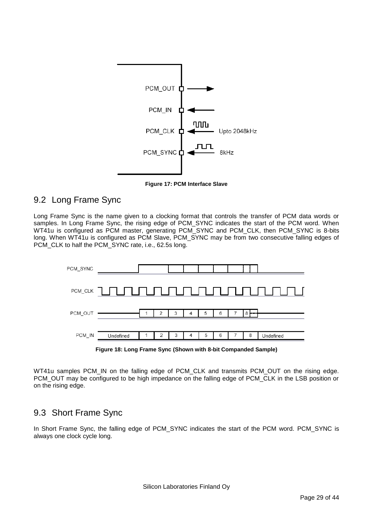

**Figure 17: PCM Interface Slave**

# <span id="page-28-0"></span>9.2 Long Frame Sync

Long Frame Sync is the name given to a clocking format that controls the transfer of PCM data words or samples. In Long Frame Sync, the rising edge of PCM\_SYNC indicates the start of the PCM word. When WT41u is configured as PCM master, generating PCM\_SYNC and PCM\_CLK, then PCM\_SYNC is 8-bits long. When WT41u is configured as PCM Slave, PCM\_SYNC may be from two consecutive falling edges of PCM\_CLK to half the PCM\_SYNC rate, i.e., 62.5s long.



**Figure 18: Long Frame Sync (Shown with 8-bit Companded Sample)**

WT41u samples PCM\_IN on the falling edge of PCM\_CLK and transmits PCM\_OUT on the rising edge. PCM\_OUT may be configured to be high impedance on the falling edge of PCM\_CLK in the LSB position or on the rising edge.

# <span id="page-28-1"></span>9.3 Short Frame Sync

In Short Frame Sync, the falling edge of PCM\_SYNC indicates the start of the PCM word. PCM\_SYNC is always one clock cycle long.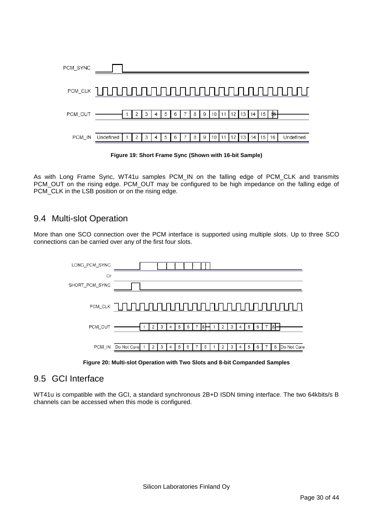

**Figure 19: Short Frame Sync (Shown with 16-bit Sample)**

As with Long Frame Sync, WT41u samples PCM IN on the falling edge of PCM CLK and transmits PCM\_OUT on the rising edge. PCM\_OUT may be configured to be high impedance on the falling edge of PCM CLK in the LSB position or on the rising edge.

## <span id="page-29-0"></span>9.4 Multi-slot Operation

More than one SCO connection over the PCM interface is supported using multiple slots. Up to three SCO connections can be carried over any of the first four slots.



**Figure 20: Multi-slot Operation with Two Slots and 8-bit Companded Samples**

# <span id="page-29-1"></span>9.5 GCI Interface

WT41u is compatible with the GCI, a standard synchronous 2B+D ISDN timing interface. The two 64kbits/s B channels can be accessed when this mode is configured.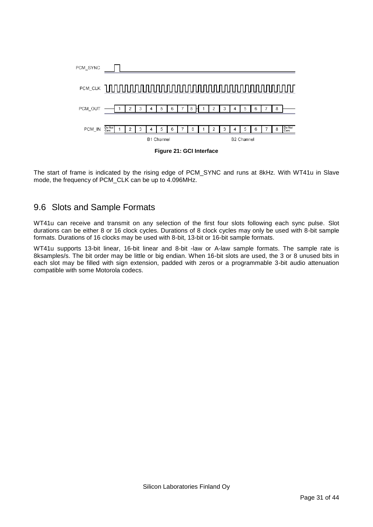

The start of frame is indicated by the rising edge of PCM\_SYNC and runs at 8kHz. With WT41u in Slave mode, the frequency of PCM\_CLK can be up to 4.096MHz.

## <span id="page-30-0"></span>9.6 Slots and Sample Formats

WT41u can receive and transmit on any selection of the first four slots following each sync pulse. Slot durations can be either 8 or 16 clock cycles. Durations of 8 clock cycles may only be used with 8-bit sample formats. Durations of 16 clocks may be used with 8-bit, 13-bit or 16-bit sample formats.

WT41u supports 13-bit linear, 16-bit linear and 8-bit -law or A-law sample formats. The sample rate is 8ksamples/s. The bit order may be little or big endian. When 16-bit slots are used, the 3 or 8 unused bits in each slot may be filled with sign extension, padded with zeros or a programmable 3-bit audio attenuation compatible with some Motorola codecs.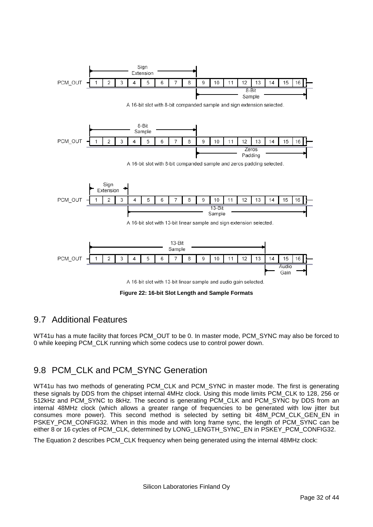

**Figure 22: 16-bit Slot Length and Sample Formats**

# <span id="page-31-0"></span>9.7 Additional Features

WT41u has a mute facility that forces PCM\_OUT to be 0. In master mode, PCM\_SYNC may also be forced to 0 while keeping PCM\_CLK running which some codecs use to control power down.

# <span id="page-31-1"></span>9.8 PCM\_CLK and PCM\_SYNC Generation

WT41u has two methods of generating PCM\_CLK and PCM\_SYNC in master mode. The first is generating these signals by DDS from the chipset internal 4MHz clock. Using this mode limits PCM\_CLK to 128, 256 or 512kHz and PCM\_SYNC to 8kHz. The second is generating PCM\_CLK and PCM\_SYNC by DDS from an internal 48MHz clock (which allows a greater range of frequencies to be generated with low jitter but consumes more power). This second method is selected by setting bit 48M\_PCM\_CLK\_GEN\_EN in PSKEY\_PCM\_CONFIG32. When in this mode and with long frame sync, the length of PCM\_SYNC can be either 8 or 16 cycles of PCM\_CLK, determined by LONG\_LENGTH\_SYNC\_EN in PSKEY\_PCM\_CONFIG32.

The Equation 2 describes PCM\_CLK frequency when being generated using the internal 48MHz clock: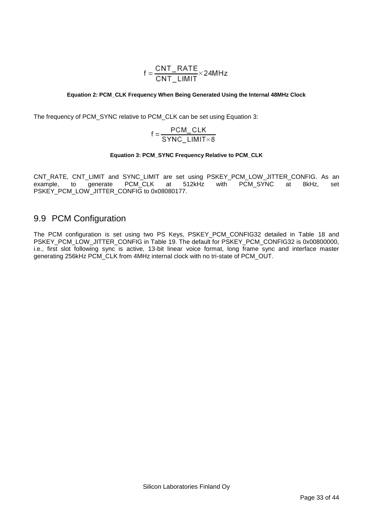$$
f = \frac{CNT\_RATE}{CNT\_LIMIT} \times 24MHz
$$

#### **Equation 2: PCM\_CLK Frequency When Being Generated Using the Internal 48MHz Clock**

The frequency of PCM\_SYNC relative to PCM\_CLK can be set using Equation 3:

$$
f = \frac{PCM\_CLK}{SYNC\_LIMIT \times 8}
$$

#### **Equation 3: PCM\_SYNC Frequency Relative to PCM\_CLK**

CNT\_RATE, CNT\_LIMIT and SYNC\_LIMIT are set using PSKEY\_PCM\_LOW\_JITTER\_CONFIG. As an example, to generate PCM\_CLK at 512kHz with PCM\_SYNC at 8kHz, set PSKEY\_PCM\_LOW\_JITTER\_CONFIG to 0x08080177.

## <span id="page-32-0"></span>9.9 PCM Configuration

The PCM configuration is set using two PS Keys, PSKEY\_PCM\_CONFIG32 detailed in Table 18 and PSKEY\_PCM\_LOW\_JITTER\_CONFIG in Table 19. The default for PSKEY\_PCM\_CONFIG32 is 0x00800000, i.e., first slot following sync is active, 13-bit linear voice format, long frame sync and interface master generating 256kHz PCM\_CLK from 4MHz internal clock with no tri-state of PCM\_OUT.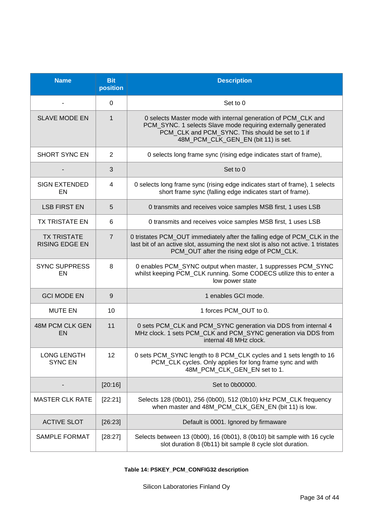| <b>Name</b>                                 | <b>Bit</b><br>position | <b>Description</b>                                                                                                                                                                                                        |
|---------------------------------------------|------------------------|---------------------------------------------------------------------------------------------------------------------------------------------------------------------------------------------------------------------------|
|                                             | 0                      | Set to 0                                                                                                                                                                                                                  |
| <b>SLAVE MODE EN</b>                        | $\mathbf{1}$           | 0 selects Master mode with internal generation of PCM_CLK and<br>PCM_SYNC. 1 selects Slave mode requiring externally generated<br>PCM_CLK and PCM_SYNC. This should be set to 1 if<br>48M_PCM_CLK_GEN_EN (bit 11) is set. |
| <b>SHORT SYNC EN</b>                        | $\overline{2}$         | 0 selects long frame sync (rising edge indicates start of frame),                                                                                                                                                         |
|                                             | 3                      | Set to 0                                                                                                                                                                                                                  |
| <b>SIGN EXTENDED</b><br>EN                  | 4                      | 0 selects long frame sync (rising edge indicates start of frame), 1 selects<br>short frame sync (falling edge indicates start of frame).                                                                                  |
| <b>LSB FIRST EN</b>                         | 5                      | 0 transmits and receives voice samples MSB first, 1 uses LSB                                                                                                                                                              |
| <b>TX TRISTATE EN</b>                       | 6                      | 0 transmits and receives voice samples MSB first, 1 uses LSB                                                                                                                                                              |
| <b>TX TRISTATE</b><br><b>RISING EDGE EN</b> | $\overline{7}$         | 0 tristates PCM_OUT immediately after the falling edge of PCM_CLK in the<br>last bit of an active slot, assuming the next slot is also not active. 1 tristates<br>PCM_OUT after the rising edge of PCM_CLK.               |
| <b>SYNC SUPPRESS</b><br>EN                  | 8                      | 0 enables PCM_SYNC output when master, 1 suppresses PCM_SYNC<br>whilst keeping PCM_CLK running. Some CODECS utilize this to enter a<br>low power state                                                                    |
| <b>GCI MODE EN</b>                          | 9                      | 1 enables GCI mode.                                                                                                                                                                                                       |
| <b>MUTE EN</b>                              | 10                     | 1 forces PCM_OUT to 0.                                                                                                                                                                                                    |
| 48M PCM CLK GEN<br>EN                       | 11                     | 0 sets PCM_CLK and PCM_SYNC generation via DDS from internal 4<br>MHz clock. 1 sets PCM_CLK and PCM_SYNC generation via DDS from<br>internal 48 MHz clock.                                                                |
| LONG LENGTH<br><b>SYNC EN</b>               | 12                     | 0 sets PCM_SYNC length to 8 PCM_CLK cycles and 1 sets length to 16<br>PCM_CLK cycles. Only applies for long frame sync and with<br>48M_PCM_CLK_GEN_EN set to 1.                                                           |
|                                             | [20:16]                | Set to 0b00000.                                                                                                                                                                                                           |
| <b>MASTER CLK RATE</b>                      | [22:21]                | Selects 128 (0b01), 256 (0b00), 512 (0b10) kHz PCM_CLK frequency<br>when master and 48M PCM CLK GEN EN (bit 11) is low.                                                                                                   |
| <b>ACTIVE SLOT</b>                          | [26:23]                | Default is 0001. Ignored by firmaware                                                                                                                                                                                     |
| <b>SAMPLE FORMAT</b>                        | [28:27]                | Selects between 13 (0b00), 16 (0b01), 8 (0b10) bit sample with 16 cycle<br>slot duration 8 (0b11) bit sample 8 cycle slot duration.                                                                                       |

**Table 14: PSKEY\_PCM\_CONFIG32 description**

Silicon Laboratories Finland Oy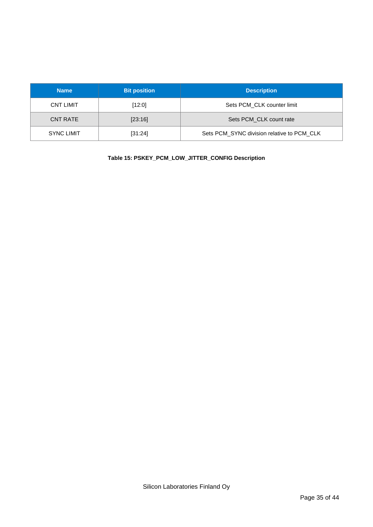| <b>Name</b>       | <b>Bit position</b> | <b>Description</b>                         |
|-------------------|---------------------|--------------------------------------------|
| <b>CNT LIMIT</b>  | $[12:0]$            | Sets PCM CLK counter limit                 |
| <b>CNT RATE</b>   | [23:16]             | Sets PCM CLK count rate                    |
| <b>SYNC LIMIT</b> | [31:24]             | Sets PCM_SYNC division relative to PCM_CLK |

**Table 15: PSKEY\_PCM\_LOW\_JITTER\_CONFIG Description**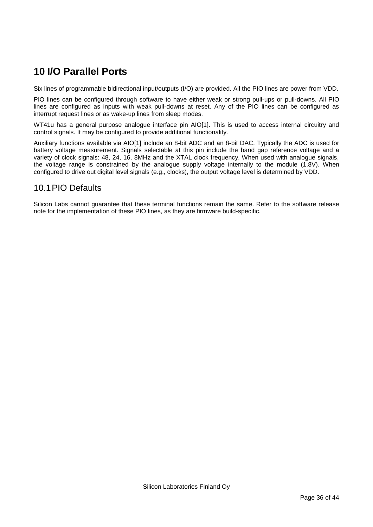# <span id="page-35-0"></span>**10 I/O Parallel Ports**

Six lines of programmable bidirectional input/outputs (I/O) are provided. All the PIO lines are power from VDD.

PIO lines can be configured through software to have either weak or strong pull-ups or pull-downs. All PIO lines are configured as inputs with weak pull-downs at reset. Any of the PIO lines can be configured as interrupt request lines or as wake-up lines from sleep modes.

WT41u has a general purpose analogue interface pin AIO[1]. This is used to access internal circuitry and control signals. It may be configured to provide additional functionality.

Auxiliary functions available via AIO[1] include an 8-bit ADC and an 8-bit DAC. Typically the ADC is used for battery voltage measurement. Signals selectable at this pin include the band gap reference voltage and a variety of clock signals: 48, 24, 16, 8MHz and the XTAL clock frequency. When used with analogue signals, the voltage range is constrained by the analogue supply voltage internally to the module (1.8V). When configured to drive out digital level signals (e.g., clocks), the output voltage level is determined by VDD.

## <span id="page-35-1"></span>10.1PIO Defaults

Silicon Labs cannot guarantee that these terminal functions remain the same. Refer to the software release note for the implementation of these PIO lines, as they are firmware build-specific.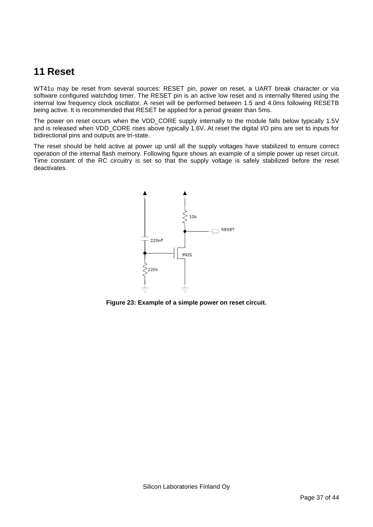# <span id="page-36-0"></span>**11 Reset**

WT41u may be reset from several sources: RESET pin, power on reset, a UART break character or via software configured watchdog timer. The RESET pin is an active low reset and is internally filtered using the internal low frequency clock oscillator. A reset will be performed between 1.5 and 4.0ms following RESETB being active. It is recommended that RESET be applied for a period greater than 5ms.

The power on reset occurs when the VDD\_CORE supply internally to the module falls below typically 1.5V and is released when VDD\_CORE rises above typically 1.6V. At reset the digital I/O pins are set to inputs for bidirectional pins and outputs are tri-state.

The reset should be held active at power up until all the supply voltages have stabilized to ensure correct operation of the internal flash memory. Following figure shows an example of a simple power up reset circuit. Time constant of the RC circuitry is set so that the supply voltage is safely stabilized before the reset deactivates.



**Figure 23: Example of a simple power on reset circuit.**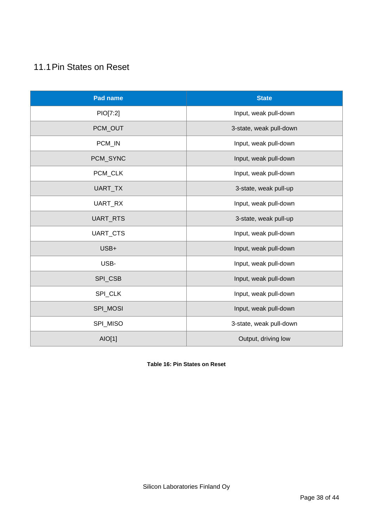# <span id="page-37-0"></span>11.1Pin States on Reset

| <b>Pad name</b> | <b>State</b>            |
|-----------------|-------------------------|
| PIO[7:2]        | Input, weak pull-down   |
| PCM_OUT         | 3-state, weak pull-down |
| PCM_IN          | Input, weak pull-down   |
| PCM_SYNC        | Input, weak pull-down   |
| PCM_CLK         | Input, weak pull-down   |
| UART_TX         | 3-state, weak pull-up   |
| UART_RX         | Input, weak pull-down   |
| UART_RTS        | 3-state, weak pull-up   |
| UART_CTS        | Input, weak pull-down   |
| USB+            | Input, weak pull-down   |
| USB-            | Input, weak pull-down   |
| SPI_CSB         | Input, weak pull-down   |
| SPI_CLK         | Input, weak pull-down   |
| SPI_MOSI        | Input, weak pull-down   |
| SPI_MISO        | 3-state, weak pull-down |
| AIO[1]          | Output, driving low     |

**Table 16: Pin States on Reset**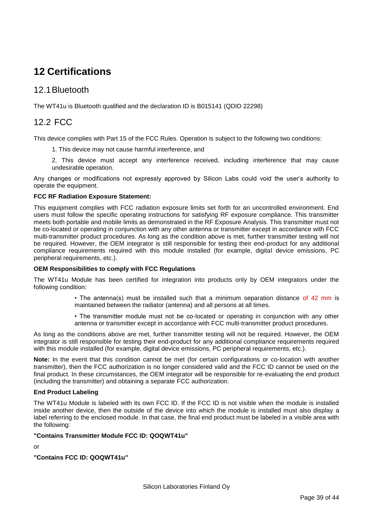# <span id="page-38-0"></span>**12 Certifications**

## <span id="page-38-1"></span>12.1Bluetooth

The WT41u is Bluetooth qualified and the declaration ID is B015141 (QDID 22298)

## <span id="page-38-2"></span>12.2 FCC

This device complies with Part 15 of the FCC Rules. Operation is subject to the following two conditions:

- 1. This device may not cause harmful interference, and
- 2. This device must accept any interference received, including interference that may cause undesirable operation.

Any changes or modifications not expressly approved by Silicon Labs could void the user's authority to operate the equipment.

#### **FCC RF Radiation Exposure Statement:**

This equipment complies with FCC radiation exposure limits set forth for an uncontrolled environment. End users must follow the specific operating instructions for satisfying RF exposure compliance. This transmitter meets both portable and mobile limits as demonstrated in the RF Exposure Analysis. This transmitter must not be co-located or operating in conjunction with any other antenna or transmitter except in accordance with FCC multi-transmitter product procedures. As long as the condition above is met, further transmitter testing will not be required. However, the OEM integrator is still responsible for testing their end-product for any additional compliance requirements required with this module installed (for example, digital device emissions, PC peripheral requirements, etc.).

#### **OEM Responsibilities to comply with FCC Regulations**

The WT41u Module has been certified for integration into products only by OEM integrators under the following condition:

- The antenna(s) must be installed such that a minimum separation distance of 42 mm is maintained between the radiator (antenna) and all persons at all times.
- The transmitter module must not be co-located or operating in conjunction with any other antenna or transmitter except in accordance with FCC multi-transmitter product procedures.

As long as the conditions above are met, further transmitter testing will not be required. However, the OEM integrator is still responsible for testing their end-product for any additional compliance requirements required with this module installed (for example, digital device emissions, PC peripheral requirements, etc.).

**Note:** In the event that this condition cannot be met (for certain configurations or co-location with another transmitter), then the FCC authorization is no longer considered valid and the FCC ID cannot be used on the final product. In these circumstances, the OEM integrator will be responsible for re-evaluating the end product (including the transmitter) and obtaining a separate FCC authorization.

#### **End Product Labeling**

The WT41u Module is labeled with its own FCC ID. If the FCC ID is not visible when the module is installed inside another device, then the outside of the device into which the module is installed must also display a label referring to the enclosed module. In that case, the final end product must be labeled in a visible area with the following:

#### **"Contains Transmitter Module FCC ID: QOQWT41u"**

or

**"Contains FCC ID: QOQWT41u"**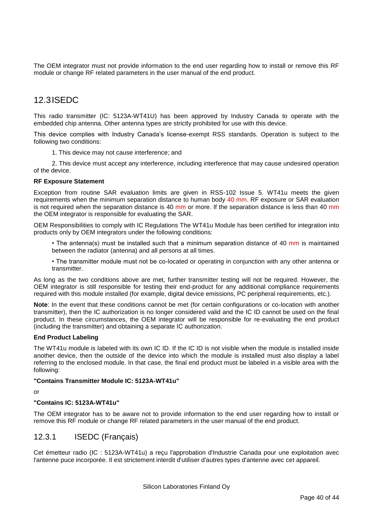The OEM integrator must not provide information to the end user regarding how to install or remove this RF module or change RF related parameters in the user manual of the end product.

# <span id="page-39-0"></span>12.3ISEDC

This radio transmitter (IC: 5123A-WT41U) has been approved by Industry Canada to operate with the embedded chip antenna. Other antenna types are strictly prohibited for use with this device.

This device complies with Industry Canada's license-exempt RSS standards. Operation is subject to the following two conditions:

1. This device may not cause interference; and

2. This device must accept any interference, including interference that may cause undesired operation of the device.

#### **RF Exposure Statement**

Exception from routine SAR evaluation limits are given in RSS-102 Issue 5. WT41u meets the given requirements when the minimum separation distance to human body 40 mm. RF exposure or SAR evaluation is not required when the separation distance is 40 mm or more. If the separation distance is less than 40 mm the OEM integrator is responsible for evaluating the SAR.

OEM Responsibilities to comply with IC Regulations The WT41u Module has been certified for integration into products only by OEM integrators under the following conditions:

• The antenna(s) must be installed such that a minimum separation distance of 40 mm is maintained between the radiator (antenna) and all persons at all times.

• The transmitter module must not be co-located or operating in conjunction with any other antenna or transmitter.

As long as the two conditions above are met, further transmitter testing will not be required. However, the OEM integrator is still responsible for testing their end-product for any additional compliance requirements required with this module installed (for example, digital device emissions, PC peripheral requirements, etc.).

**Note**: In the event that these conditions cannot be met (for certain configurations or co-location with another transmitter), then the IC authorization is no longer considered valid and the IC ID cannot be used on the final product. In these circumstances, the OEM integrator will be responsible for re-evaluating the end product (including the transmitter) and obtaining a separate IC authorization.

#### **End Product Labeling**

The WT41u module is labeled with its own IC ID. If the IC ID is not visible when the module is installed inside another device, then the outside of the device into which the module is installed must also display a label referring to the enclosed module. In that case, the final end product must be labeled in a visible area with the following:

#### **"Contains Transmitter Module IC: 5123A-WT41u"**

or

#### **"Contains IC: 5123A-WT41u"**

The OEM integrator has to be aware not to provide information to the end user regarding how to install or remove this RF module or change RF related parameters in the user manual of the end product.

#### <span id="page-39-1"></span>12.3.1 ISEDC (Français)

Cet émetteur radio (IC : 5123A-WT41u) a reçu l'approbation d'Industrie Canada pour une exploitation avec l'antenne puce incorporée. Il est strictement interdit d'utiliser d'autres types d'antenne avec cet appareil.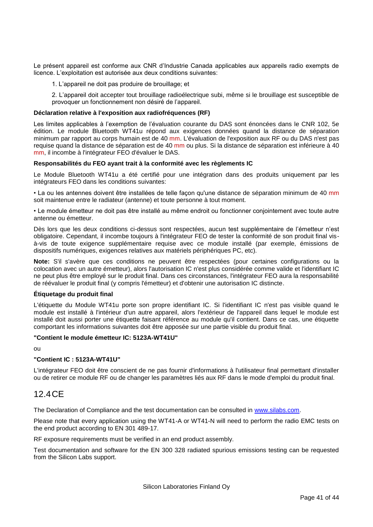Le présent appareil est conforme aux CNR d'Industrie Canada applicables aux appareils radio exempts de licence. L'exploitation est autorisée aux deux conditions suivantes:

1. L'appareil ne doit pas produire de brouillage; et

2. L'appareil doit accepter tout brouillage radioélectrique subi, même si le brouillage est susceptible de provoquer un fonctionnement non désiré de l'appareil.

#### **Déclaration relative à l'exposition aux radiofréquences (RF)**

Les limites applicables à l'exemption de l'évaluation courante du DAS sont énoncées dans le CNR 102, 5e édition. Le module Bluetooth WT41u répond aux exigences données quand la distance de séparation minimum par rapport au corps humain est de 40 mm. L'évaluation de l'exposition aux RF ou du DAS n'est pas requise quand la distance de séparation est de 40 mm ou plus. Si la distance de séparation est inférieure à 40 mm, il incombe à l'intégrateur FEO d'évaluer le DAS.

#### **Responsabilités du FEO ayant trait à la conformité avec les règlements IC**

Le Module Bluetooth WT41u a été certifié pour une intégration dans des produits uniquement par les intégrateurs FEO dans les conditions suivantes:

• La ou les antennes doivent être installées de telle façon qu'une distance de séparation minimum de 40 mm soit maintenue entre le radiateur (antenne) et toute personne à tout moment.

• Le module émetteur ne doit pas être installé au même endroit ou fonctionner conjointement avec toute autre antenne ou émetteur.

Dès lors que les deux conditions ci-dessus sont respectées, aucun test supplémentaire de l'émetteur n'est obligatoire. Cependant, il incombe toujours à l'intégrateur FEO de tester la conformité de son produit final visà-vis de toute exigence supplémentaire requise avec ce module installé (par exemple, émissions de dispositifs numériques, exigences relatives aux matériels périphériques PC, etc).

**Note:** S'il s'avère que ces conditions ne peuvent être respectées (pour certaines configurations ou la colocation avec un autre émetteur), alors l'autorisation IC n'est plus considérée comme valide et l'identifiant IC ne peut plus être employé sur le produit final. Dans ces circonstances, l'intégrateur FEO aura la responsabilité de réévaluer le produit final (y compris l'émetteur) et d'obtenir une autorisation IC distincte.

#### **Étiquetage du produit final**

L'étiquette du Module WT41u porte son propre identifiant IC. Si l'identifiant IC n'est pas visible quand le module est installé à l'intérieur d'un autre appareil, alors l'extérieur de l'appareil dans lequel le module est installé doit aussi porter une étiquette faisant référence au module qu'il contient. Dans ce cas, une étiquette comportant les informations suivantes doit être apposée sur une partie visible du produit final.

#### **"Contient le module émetteur IC: 5123A-WT41U"**

ou

#### **"Contient IC : 5123A-WT41U"**

L'intégrateur FEO doit être conscient de ne pas fournir d'informations à l'utilisateur final permettant d'installer ou de retirer ce module RF ou de changer les paramètres liés aux RF dans le mode d'emploi du produit final.

#### <span id="page-40-0"></span>12.4CE

The Declaration of Compliance and the test documentation can be consulted in [www.silabs.com.](http://www.silabs.com/)

Please note that every application using the WT41-A or WT41-N will need to perform the radio EMC tests on the end product according to EN 301 489-17.

RF exposure requirements must be verified in an end product assembly.

Test documentation and software for the EN 300 328 radiated spurious emissions testing can be requested from the Silicon Labs support.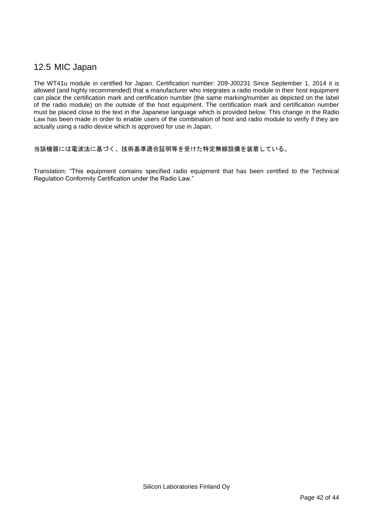## <span id="page-41-0"></span>12.5 MIC Japan

The WT41u module in certified for Japan. Certification number: 209-J00231 Since September 1, 2014 it is allowed (and highly recommended) that a manufacturer who integrates a radio module in their host equipment can place the certification mark and certification number (the same marking/number as depicted on the label of the radio module) on the outside of the host equipment. The certification mark and certification number must be placed close to the text in the Japanese language which is provided below. This change in the Radio Law has been made in order to enable users of the combination of host and radio module to verify if they are actually using a radio device which is approved for use in Japan.

当該機器には電波法に基づく、技術基準適合証明等を受けた特定無線設備を装着している。

Translation: "This equipment contains specified radio equipment that has been certified to the Technical Regulation Conformity Certification under the Radio Law."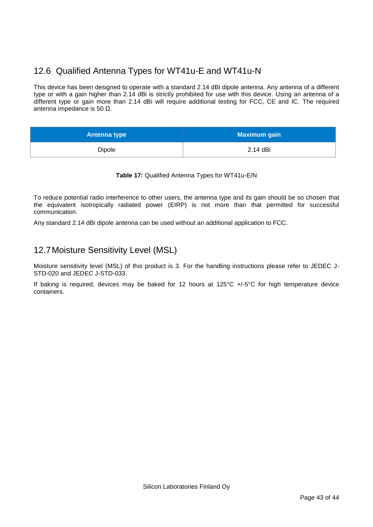# <span id="page-42-0"></span>12.6 Qualified Antenna Types for WT41u-E and WT41u-N

This device has been designed to operate with a standard 2.14 dBi dipole antenna. Any antenna of a different type or with a gain higher than 2.14 dBi is strictly prohibited for use with this device. Using an antenna of a different type or gain more than 2.14 dBi will require additional testing for FCC, CE and IC. The required antenna impedance is 50 Ω.

| <b>Antenna type</b> | <b>Maximum gain</b> |
|---------------------|---------------------|
| Dipole              | 2.14 dBi            |

#### **Table 17:** Qualified Antenna Types for WT41u-E/N

To reduce potential radio interference to other users, the antenna type and its gain should be so chosen that the equivalent isotropically radiated power (EIRP) is not more than that permitted for successful communication.

Any standard 2.14 dBi dipole antenna can be used without an additional application to FCC.

## <span id="page-42-1"></span>12.7Moisture Sensitivity Level (MSL)

Moisture sensitivity level (MSL) of this product is 3. For the handling instructions please refer to JEDEC J-STD-020 and JEDEC J-STD-033.

If baking is required, devices may be baked for 12 hours at 125°C +/-5°C for high temperature device containers.